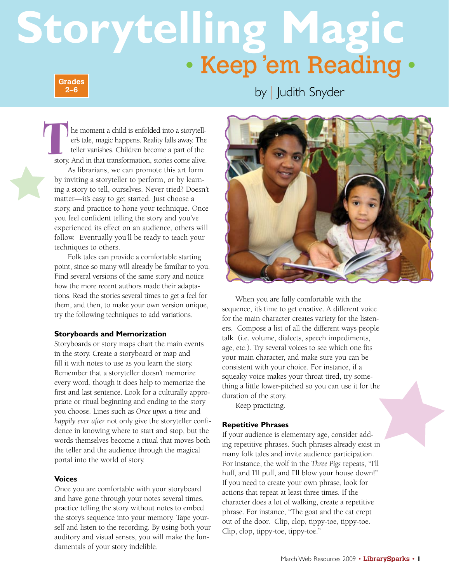# **Storytelling Magic** • Keep 'em Reading •

**Grades 2–6**

by | Judith Snyder

he moment a child is enfolded into a storyteller's tale, magic happens. Reality falls away. The teller vanishes. Children become a part of the story. And in that transformation, stories come alive. As librarians, we can promote this art form by inviting a storyteller to perform, or by learn-The story.

ing a story to tell, ourselves. Never tried? Doesn't matter—it's easy to get started. Just choose a story, and practice to hone your technique. Once you feel confident telling the story and you've experienced its effect on an audience, others will follow. Eventually you'll be ready to teach your techniques to others.

Folk tales can provide a comfortable starting point, since so many will already be familiar to you. Find several versions of the same story and notice how the more recent authors made their adaptations. Read the stories several times to get a feel for them, and then, to make your own version unique, try the following techniques to add variations.

## **Storyboards and Memorization**

Storyboards or story maps chart the main events in the story. Create a storyboard or map and fill it with notes to use as you learn the story. Remember that a storyteller doesn't memorize every word, though it does help to memorize the first and last sentence. Look for a culturally appropriate or ritual beginning and ending to the story you choose. Lines such as *Once upon a time* and *happily ever after* not only give the storyteller confidence in knowing where to start and stop, but the words themselves become a ritual that moves both the teller and the audience through the magical portal into the world of story.

#### **Voices**

Once you are comfortable with your storyboard and have gone through your notes several times, practice telling the story without notes to embed the story's sequence into your memory. Tape yourself and listen to the recording. By using both your auditory and visual senses, you will make the fundamentals of your story indelible.



When you are fully comfortable with the sequence, it's time to get creative. A different voice for the main character creates variety for the listeners. Compose a list of all the different ways people talk (i.e. volume, dialects, speech impediments, age, etc.). Try several voices to see which one fits your main character, and make sure you can be consistent with your choice. For instance, if a squeaky voice makes your throat tired, try something a little lower-pitched so you can use it for the duration of the story.

Keep practicing.

## **Repetitive Phrases**

If your audience is elementary age, consider adding repetitive phrases. Such phrases already exist in many folk tales and invite audience participation. For instance, the wolf in the *Three Pigs* repeats, "I'll huff, and I'll puff, and I'll blow your house down!" If you need to create your own phrase, look for actions that repeat at least three times. If the character does a lot of walking, create a repetitive phrase. For instance, "The goat and the cat crept out of the door. Clip, clop, tippy-toe, tippy-toe. Clip, clop, tippy-toe, tippy-toe."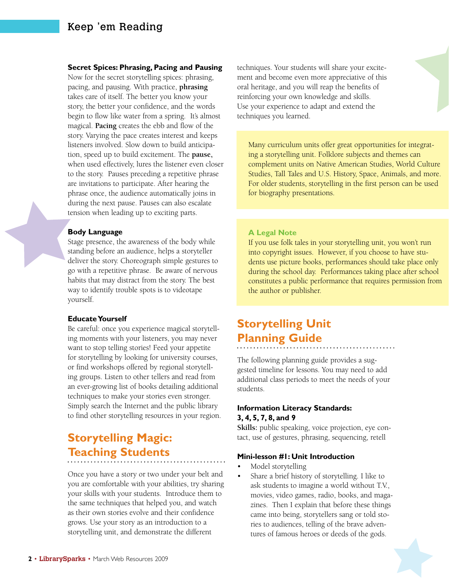# Keep 'em Reading

#### **Secret Spices: Phrasing, Pacing and Pausing**

Now for the secret storytelling spices: phrasing, pacing, and pausing. With practice, **phrasing** takes care of itself. The better you know your story, the better your confidence, and the words begin to flow like water from a spring. It's almost magical. **Pacing** creates the ebb and flow of the story. Varying the pace creates interest and keeps listeners involved. Slow down to build anticipation, speed up to build excitement. The **pause,**  when used effectively, lures the listener even closer to the story. Pauses preceding a repetitive phrase are invitations to participate. After hearing the phrase once, the audience automatically joins in during the next pause. Pauses can also escalate tension when leading up to exciting parts.

#### **Body Language**

Stage presence, the awareness of the body while standing before an audience, helps a storyteller deliver the story. Choreograph simple gestures to go with a repetitive phrase. Be aware of nervous habits that may distract from the story. The best way to identify trouble spots is to videotape yourself.

#### **Educate Yourself**

Be careful: once you experience magical storytelling moments with your listeners, you may never want to stop telling stories! Feed your appetite for storytelling by looking for university courses, or find workshops offered by regional storytelling groups. Listen to other tellers and read from an ever-growing list of books detailing additional techniques to make your stories even stronger. Simply search the Internet and the public library to find other storytelling resources in your region.

# **Storytelling Magic: Teaching Students**

Once you have a story or two under your belt and you are comfortable with your abilities, try sharing your skills with your students. Introduce them to the same techniques that helped you, and watch as their own stories evolve and their confidence grows. Use your story as an introduction to a storytelling unit, and demonstrate the different

techniques. Your students will share your excitement and become even more appreciative of this oral heritage, and you will reap the benefits of reinforcing your own knowledge and skills. Use your experience to adapt and extend the techniques you learned.

Many curriculum units offer great opportunities for integrating a storytelling unit. Folklore subjects and themes can complement units on Native American Studies, World Culture Studies, Tall Tales and U.S. History, Space, Animals, and more. For older students, storytelling in the first person can be used for biography presentations.

#### **A Legal Note**

If you use folk tales in your storytelling unit, you won't run into copyright issues. However, if you choose to have students use picture books, performances should take place only during the school day. Performances taking place after school constitutes a public performance that requires permission from the author or publisher.

# **Storytelling Unit Planning Guide**

The following planning guide provides a suggested timeline for lessons. You may need to add additional class periods to meet the needs of your students.

#### **Information Literacy Standards: 3, 4, 5, 7, 8, and 9**

**Skills:** public speaking, voice projection, eye contact, use of gestures, phrasing, sequencing, retell

#### **Mini-lesson #1: Unit Introduction**

- Model storytelling
- Share a brief history of storytelling. I like to ask students to imagine a world without T.V., movies, video games, radio, books, and magazines. Then I explain that before these things came into being, storytellers sang or told stories to audiences, telling of the brave adventures of famous heroes or deeds of the gods.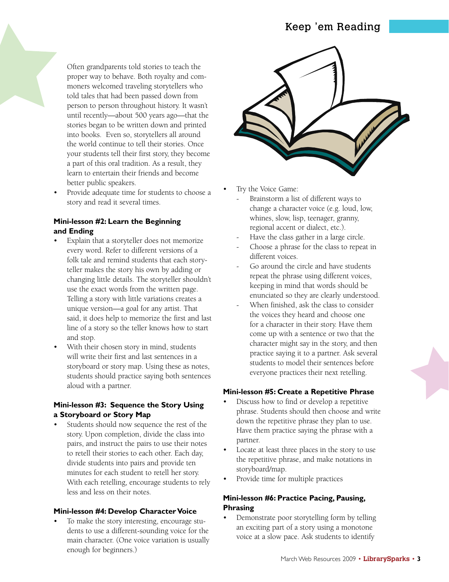Often grandparents told stories to teach the proper way to behave. Both royalty and commoners welcomed traveling storytellers who told tales that had been passed down from person to person throughout history. It wasn't until recently—about 500 years ago—that the stories began to be written down and printed into books. Even so, storytellers all around the world continue to tell their stories. Once your students tell their first story, they become a part of this oral tradition. As a result, they learn to entertain their friends and become better public speakers.

• Provide adequate time for students to choose a story and read it several times.

# **Mini-lesson #2: Learn the Beginning and Ending**

- Explain that a storyteller does not memorize every word. Refer to different versions of a folk tale and remind students that each storyteller makes the story his own by adding or changing little details. The storyteller shouldn't use the exact words from the written page. Telling a story with little variations creates a unique version—a goal for any artist. That said, it does help to memorize the first and last line of a story so the teller knows how to start and stop.
- With their chosen story in mind, students will write their first and last sentences in a storyboard or story map. Using these as notes, students should practice saying both sentences aloud with a partner.

## **Mini-lesson #3: Sequence the Story Using a Storyboard or Story Map**

Students should now sequence the rest of the story. Upon completion, divide the class into pairs, and instruct the pairs to use their notes to retell their stories to each other. Each day, divide students into pairs and provide ten minutes for each student to retell her story. With each retelling, encourage students to rely less and less on their notes.

## **Mini-lesson #4: Develop Character Voice**

• To make the story interesting, encourage students to use a different-sounding voice for the main character. (One voice variation is usually enough for beginners.)



- Try the Voice Game:
- Brainstorm a list of different ways to change a character voice (e.g. loud, low, whines, slow, lisp, teenager, granny, regional accent or dialect, etc.).
- Have the class gather in a large circle.
- Choose a phrase for the class to repeat in different voices.
- Go around the circle and have students repeat the phrase using different voices, keeping in mind that words should be enunciated so they are clearly understood.
- When finished, ask the class to consider the voices they heard and choose one for a character in their story. Have them come up with a sentence or two that the character might say in the story, and then practice saying it to a partner. Ask several students to model their sentences before everyone practices their next retelling.

# **Mini-lesson #5: Create a Repetitive Phrase**

- Discuss how to find or develop a repetitive phrase. Students should then choose and write down the repetitive phrase they plan to use. Have them practice saying the phrase with a partner.
- Locate at least three places in the story to use the repetitive phrase, and make notations in storyboard/map.
- Provide time for multiple practices

# **Mini-lesson #6: Practice Pacing, Pausing, Phrasing**

• Demonstrate poor storytelling form by telling an exciting part of a story using a monotone voice at a slow pace. Ask students to identify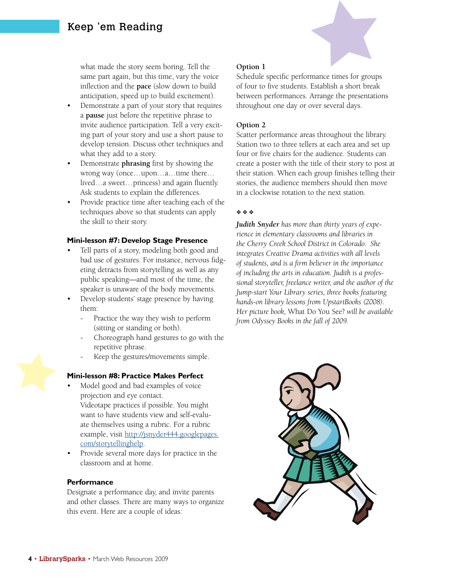what made the story seem boring. Tell the same part again, but this time, vary the voice inflection and the **pace** (slow down to build anticipation, speed up to build excitement).

- Demonstrate a part of your story that requires a **pause** just before the repetitive phrase to invite audience participation. Tell a very exciting part of your story and use a short pause to develop tension. Discuss other techniques and what they add to a story.
- Demonstrate **phrasing** first by showing the wrong way (once…upon…a…time there… lived…a sweet…princess) and again fluently. Ask students to explain the differences.
- Provide practice time after teaching each of the techniques above so that students can apply the skill to their story.

## **Mini-lesson #7: Develop Stage Presence**

- Tell parts of a story, modeling both good and bad use of gestures. For instance, nervous fidgeting detracts from storytelling as well as any public speaking—and most of the time, the speaker is unaware of the body movements.
- Develop students' stage presence by having them:
	- Practice the way they wish to perform (sitting or standing or both).
	- Choreograph hand gestures to go with the repetitive phrase.
	- Keep the gestures/movements simple.

## **Mini-lesson #8: Practice Makes Perfect**

- Model good and bad examples of voice projection and eye contact. Videotape practices if possible. You might want to have students view and self-evaluate themselves using a rubric. For a rubric example, visit http://jsnyder444.googlepages. com/storytellinghelp.
- Provide several more days for practice in the classroom and at home.

#### **Performance**

Designate a performance day, and invite parents and other classes. There are many ways to organize this event. Here are a couple of ideas:

## **Option 1**

Schedule specific performance times for groups of four to five students. Establish a short break between performances. Arrange the presentations throughout one day or over several days.

## **Option 2**

Scatter performance areas throughout the library. Station two to three tellers at each area and set up four or five chairs for the audience. Students can create a poster with the title of their story to post at their station. When each group finishes telling their stories, the audience members should then move in a clockwise rotation to the next station.

## ❖ ❖ ❖

*Judith Snyder has more than thirty years of experience in elementary classrooms and libraries in the Cherry Creek School District in Colorado. She integrates Creative Drama activities with all levels of students, and is a firm believer in the importance of including the arts in education. Judith is a professional storyteller, freelance writer, and the author of the Jump-start Your Library series, three books featuring hands-on library lessons from UpstartBooks (2008). Her picture book,* What Do You See? *will be available from Odyssey Books in the fall of 2009.*